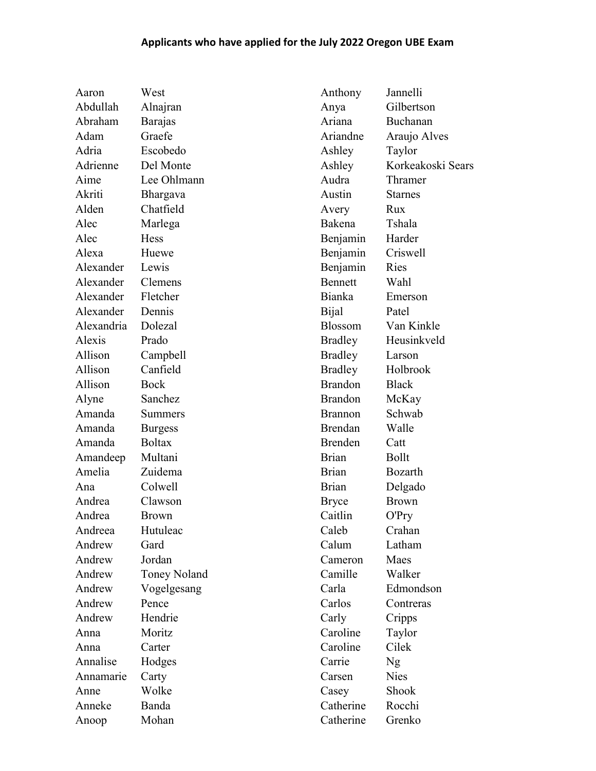## Applicants who have applied for the July 2022 Oregon UBE Exam

| Aaron              | West                | Anthony        | Jannelli          |
|--------------------|---------------------|----------------|-------------------|
| Abdullah           | Alnajran            | Anya           | Gilbertson        |
| Abraham            | <b>Barajas</b>      | Ariana         | Buchanan          |
| Adam               | Graefe              | Ariandne       | Araujo Alves      |
| Adria              | Escobedo            | Ashley         | Taylor            |
| Adrienne           | Del Monte           | Ashley         | Korkeakoski Sears |
| Aime               | Lee Ohlmann         | Audra          | Thramer           |
| Akriti             | <b>Bhargava</b>     | Austin         | <b>Starnes</b>    |
| Alden              | Chatfield           | Avery          | Rux               |
| Alec               | Marlega             | Bakena         | Tshala            |
| Alec               | <b>Hess</b>         | Benjamin       | Harder            |
| Alexa              | Huewe               | Benjamin       | Criswell          |
| Alexander          | Lewis               | Benjamin       | Ries              |
| Alexander          | Clemens             | <b>Bennett</b> | Wahl              |
| Alexander Fletcher |                     | Bianka         | Emerson           |
| Alexander          | Dennis              | Bijal          | Patel             |
| Alexandria         | Dolezal             | Blossom        | Van Kinkle        |
| Alexis             | Prado               | Bradley        | Heusinkveld       |
| Allison            | Campbell            | <b>Bradley</b> | Larson            |
| Allison            | Canfield            | <b>Bradley</b> | Holbrook          |
| Allison            | Bock                | <b>Brandon</b> | <b>Black</b>      |
| Alyne              | Sanchez             | <b>Brandon</b> | McKay             |
| Amanda             | Summers             | <b>Brannon</b> | Schwab            |
| Amanda             | <b>Burgess</b>      | Brendan        | Walle             |
| Amanda             | <b>Boltax</b>       | Brenden        | Catt              |
| Amandeep           | Multani             | <b>Brian</b>   | <b>Bollt</b>      |
| Amelia             | Zuidema             | <b>Brian</b>   | Bozarth           |
| Ana                | Colwell             | <b>Brian</b>   | Delgado           |
| Andrea             | Clawson             | <b>Bryce</b>   | <b>Brown</b>      |
| Andrea             | <b>Brown</b>        | Caitlin        | O'Pry             |
| Andreea            | Hutuleac            | Caleb          | Crahan            |
| Andrew             | Gard                | Calum          | Latham            |
| Andrew             | Jordan              | Cameron        | Maes              |
| Andrew             | <b>Toney Noland</b> | Camille        | Walker            |
| Andrew             | Vogelgesang         | Carla          | Edmondson         |
| Andrew             | Pence               | Carlos         | Contreras         |
| Andrew             | Hendrie             | Carly          | Cripps            |
| Anna               | Moritz              | Caroline       | Taylor            |
| Anna               | Carter              | Caroline       | Cilek             |
| Annalise           | Hodges              | Carrie         | Ng                |
| Annamarie          | Carty               | Carsen         | <b>Nies</b>       |
| Anne               | Wolke               | Casey          | Shook             |
| Anneke             | Banda               | Catherine      | Rocchi            |
| Anoop              | Mohan               | Catherine      | Grenko            |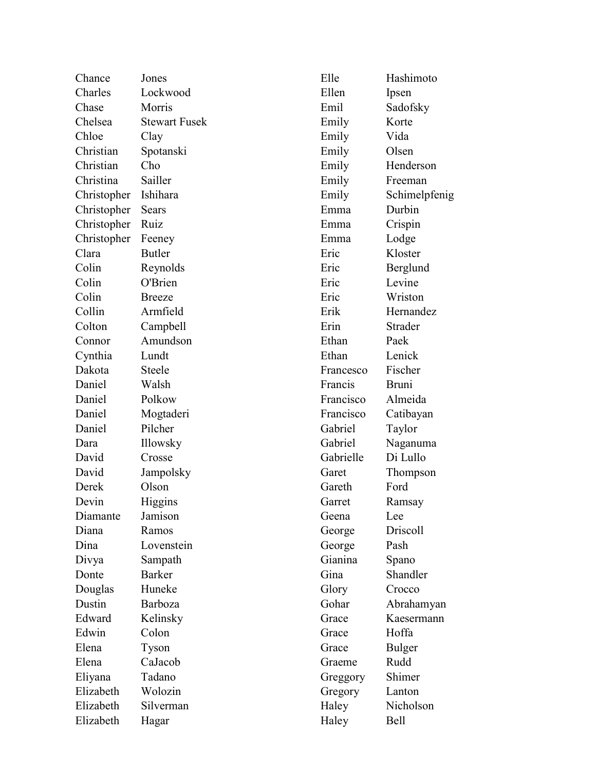| Chance      | Jones                | Elle      | Hashimoto     |
|-------------|----------------------|-----------|---------------|
| Charles     | Lockwood             | Ellen     | Ipsen         |
| Chase       | Morris               | Emil      | Sadofsky      |
| Chelsea     | <b>Stewart Fusek</b> | Emily     | Korte         |
| Chloe       | Clay                 | Emily     | Vida          |
| Christian   | Spotanski            | Emily     | Olsen         |
| Christian   | Cho                  | Emily     | Henderson     |
| Christina   | Sailler              | Emily     | Freeman       |
| Christopher | Ishihara             | Emily     | Schimelpfenig |
| Christopher | Sears                | Emma      | Durbin        |
| Christopher | Ruiz                 | Emma      | Crispin       |
| Christopher | Feeney               | Emma      | Lodge         |
| Clara       | <b>Butler</b>        | Eric      | Kloster       |
| Colin       | Reynolds             | Eric      | Berglund      |
| Colin       | O'Brien              | Eric      | Levine        |
| Colin       | <b>Breeze</b>        | Eric      | Wriston       |
| Collin      | Armfield             | Erik      | Hernandez     |
| Colton      | Campbell             | Erin      | Strader       |
| Connor      | Amundson             | Ethan     | Paek          |
| Cynthia     | Lundt                | Ethan     | Lenick        |
| Dakota      | <b>Steele</b>        | Francesco | Fischer       |
| Daniel      | Walsh                | Francis   | <b>Bruni</b>  |
| Daniel      | Polkow               | Francisco | Almeida       |
| Daniel      | Mogtaderi            | Francisco | Catibayan     |
| Daniel      | Pilcher              | Gabriel   | Taylor        |
| Dara        | Illowsky             | Gabriel   | Naganuma      |
| David       | Crosse               | Gabrielle | Di Lullo      |
| David       | Jampolsky            | Garet     | Thompson      |
| Derek       | Olson                | Gareth    | Ford          |
| Devin       | Higgins              | Garret    | Ramsay        |
| Diamante    | Jamison              | Geena     | Lee           |
| Diana       | Ramos                | George    | Driscoll      |
| Dina        | Lovenstein           | George    | Pash          |
| Divya       | Sampath              | Gianina   | Spano         |
| Donte       | <b>Barker</b>        | Gina      | Shandler      |
| Douglas     | Huneke               | Glory     | Crocco        |
| Dustin      | Barboza              | Gohar     | Abrahamyan    |
| Edward      | Kelinsky             | Grace     | Kaesermann    |
| Edwin       | Colon                | Grace     | Hoffa         |
| Elena       | Tyson                | Grace     | Bulger        |
| Elena       | CaJacob              | Graeme    | Rudd          |
| Eliyana     | Tadano               | Greggory  | Shimer        |
| Elizabeth   | Wolozin              | Gregory   | Lanton        |
| Elizabeth   | Silverman            | Haley     | Nicholson     |
| Elizabeth   | Hagar                | Haley     | Bell          |
|             |                      |           |               |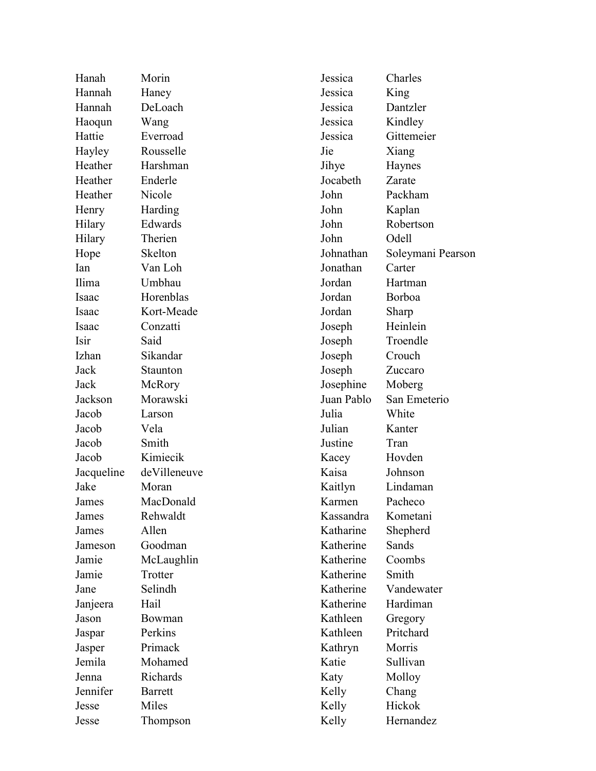| Hanah      | Morin        | Jessica    | Charles           |
|------------|--------------|------------|-------------------|
| Hannah     | Haney        | Jessica    | King              |
| Hannah     | DeLoach      | Jessica    | Dantzler          |
| Haoqun     | Wang         | Jessica    | Kindley           |
| Hattie     | Everroad     | Jessica    | Gittemeier        |
| Hayley     | Rousselle    | Jie        | Xiang             |
| Heather    | Harshman     | Jihye      | Haynes            |
| Heather    | Enderle      | Jocabeth   | Zarate            |
| Heather    | Nicole       | John       | Packham           |
| Henry      | Harding      | John       | Kaplan            |
| Hilary     | Edwards      | John       | Robertson         |
| Hilary     | Therien      | John       | Odell             |
| Hope       | Skelton      | Johnathan  | Soleymani Pearson |
| Ian        | Van Loh      | Jonathan   | Carter            |
| Ilima      | Umbhau       | Jordan     | Hartman           |
| Isaac      | Horenblas    | Jordan     | Borboa            |
| Isaac      | Kort-Meade   | Jordan     | Sharp             |
| Isaac      | Conzatti     | Joseph     | Heinlein          |
| Isir       | Said         | Joseph     | Troendle          |
| Izhan      | Sikandar     | Joseph     | Crouch            |
| Jack       | Staunton     | Joseph     | Zuccaro           |
| Jack       | McRory       | Josephine  | Moberg            |
| Jackson    | Morawski     | Juan Pablo | San Emeterio      |
| Jacob      | Larson       | Julia      | White             |
| Jacob      | Vela         | Julian     | Kanter            |
| Jacob      | Smith        | Justine    | Tran              |
| Jacob      | Kimiecik     | Kacey      | Hovden            |
| Jacqueline | deVilleneuve | Kaisa      | Johnson           |
| Jake       | Moran        | Kaitlyn    | Lindaman          |
| James      | MacDonald    | Karmen     | Pacheco           |
| James      | Rehwaldt     | Kassandra  | Kometani          |
| James      | Allen        | Katharine  | Shepherd          |
| Jameson    | Goodman      | Katherine  | Sands             |
| Jamie      | McLaughlin   | Katherine  | Coombs            |
| Jamie      | Trotter      | Katherine  | Smith             |
| Jane       | Selindh      | Katherine  | Vandewater        |
| Janjeera   | Hail         | Katherine  | Hardiman          |
| Jason      | Bowman       | Kathleen   | Gregory           |
| Jaspar     | Perkins      | Kathleen   | Pritchard         |
| Jasper     | Primack      | Kathryn    | Morris            |
| Jemila     | Mohamed      | Katie      | Sullivan          |
| Jenna      | Richards     | Katy       | Molloy            |
| Jennifer   | Barrett      | Kelly      | Chang             |
| Jesse      | Miles        | Kelly      | Hickok            |
| Jesse      | Thompson     | Kelly      | Hernandez         |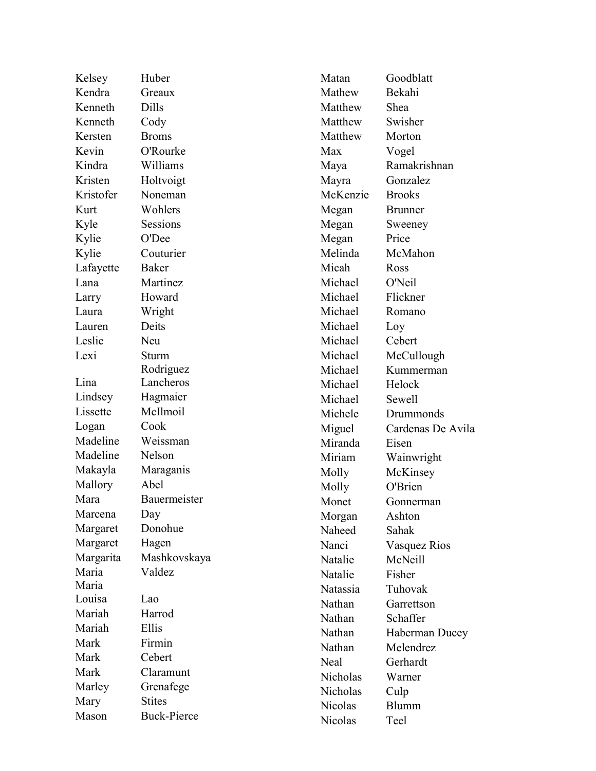| Kelsey    | Huber              | Matan    | Goodblatt           |
|-----------|--------------------|----------|---------------------|
| Kendra    | Greaux             | Mathew   | Bekahi              |
| Kenneth   | Dills              | Matthew  | Shea                |
| Kenneth   | Cody               | Matthew  | Swisher             |
| Kersten   | <b>Broms</b>       | Matthew  | Morton              |
| Kevin     | O'Rourke           | Max      | Vogel               |
| Kindra    | Williams           | Maya     | Ramakrishnan        |
| Kristen   | Holtvoigt          | Mayra    | Gonzalez            |
| Kristofer | Noneman            | McKenzie | <b>Brooks</b>       |
| Kurt      | Wohlers            | Megan    | <b>Brunner</b>      |
| Kyle      | Sessions           | Megan    | Sweeney             |
| Kylie     | O'Dee              | Megan    | Price               |
| Kylie     | Couturier          | Melinda  | McMahon             |
| Lafayette | Baker              | Micah    | Ross                |
| Lana      | Martinez           | Michael  | O'Neil              |
| Larry     | Howard             | Michael  | Flickner            |
| Laura     | Wright             | Michael  | Romano              |
| Lauren    | Deits              | Michael  | Loy                 |
| Leslie    | Neu                | Michael  | Cebert              |
| Lexi      | Sturm              | Michael  | McCullough          |
|           | Rodriguez          | Michael  | Kummerman           |
| Lina      | Lancheros          | Michael  | Helock              |
| Lindsey   | Hagmaier           | Michael  | Sewell              |
| Lissette  | McIlmoil           | Michele  | Drummonds           |
| Logan     | Cook               | Miguel   | Cardenas De Avila   |
| Madeline  | Weissman           | Miranda  | Eisen               |
| Madeline  | Nelson             | Miriam   | Wainwright          |
| Makayla   | Maraganis          | Molly    | McKinsey            |
| Mallory   | Abel               | Molly    | O'Brien             |
| Mara      | Bauermeister       | Monet    | Gonnerman           |
| Marcena   | Day                | Morgan   | Ashton              |
| Margaret  | Donohue            | Naheed   | Sahak               |
| Margaret  | Hagen              | Nanci    | <b>Vasquez Rios</b> |
| Margarita | Mashkovskaya       | Natalie  | McNeill             |
| Maria     | Valdez             | Natalie  | Fisher              |
| Maria     |                    | Natassia | Tuhovak             |
| Louisa    | Lao                | Nathan   | Garrettson          |
| Mariah    | Harrod             | Nathan   | Schaffer            |
| Mariah    | Ellis              | Nathan   | Haberman Ducey      |
| Mark      | Firmin             | Nathan   | Melendrez           |
| Mark      | Cebert             | Neal     | Gerhardt            |
| Mark      | Claramunt          | Nicholas | Warner              |
| Marley    | Grenafege          | Nicholas | Culp                |
| Mary      | <b>Stites</b>      | Nicolas  | <b>Blumm</b>        |
| Mason     | <b>Buck-Pierce</b> | Nicolas  | Teel                |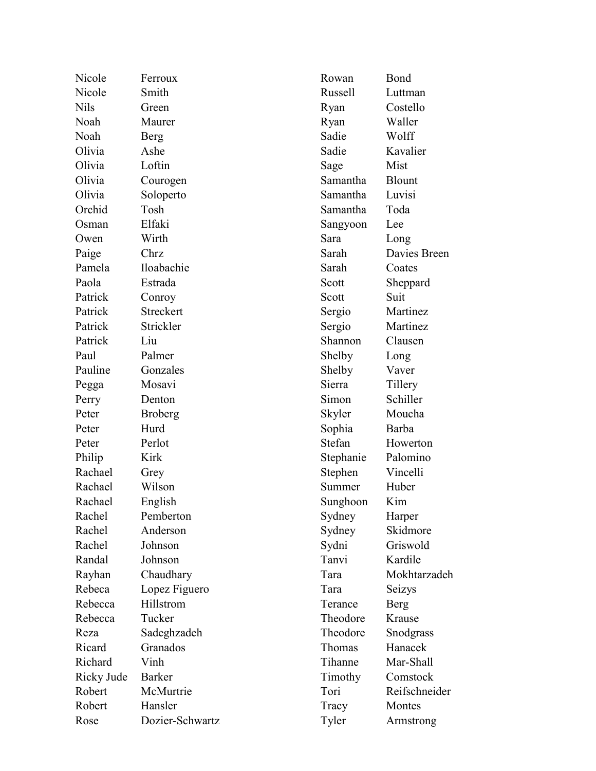| Nicole     | Ferroux         |
|------------|-----------------|
| Nicole     | Smith           |
| Nils       | Green           |
| Noah       | Maurer          |
| Noah       | Berg            |
| Olivia     | Ashe            |
| Olivia     | Loftin          |
| Olivia     | Courogen        |
| Olivia     | Soloperto       |
| Orchid     | Tosh            |
| Osman      | Elfaki          |
| Owen       | Wirth           |
| Paige      | Chrz            |
| Pamela     | Iloabachie      |
| Paola      | Estrada         |
| Patrick    | Conroy          |
| Patrick    | Streckert       |
| Patrick    | Strickler       |
| Patrick    | Liu             |
| Paul       | Palmer          |
| Pauline    | Gonzales        |
| Pegga      | Mosavi          |
| Perry      | Denton          |
| Peter      | <b>Broberg</b>  |
| Peter      | Hurd            |
| Peter      | Perlot          |
| Philip     | Kirk            |
| Rachael    | Grey            |
| Rachael    | Wilson          |
| Rachael    | English         |
| Rachel     | Pemberton       |
| Rachel     | Anderson        |
| Rachel     | Johnson         |
| Randal     | Johnson         |
| Rayhan     | Chaudhary       |
| Rebeca     | Lopez Figuero   |
| Rebecca    | Hillstrom       |
| Rebecca    | Tucker          |
| Reza       | Sadeghzadeh     |
| Ricard     | Granados        |
| Richard    | Vinh            |
| Ricky Jude | <b>Barker</b>   |
| Robert     | McMurtrie       |
| Robert     | Hansler         |
| Rose       | Dozier-Schwartz |

Rowan Bond Russell Luttman Ryan Costello Ryan Waller Sadie Wolff Sadie Kavalier Sage Mist Samantha Blount Samantha Luvisi Samantha Toda Sangyoon Lee Sara Long Sarah Davies Breen Sarah Coates Scott Sheppard Scott Suit Sergio Martinez Sergio Martinez Shannon Clausen Shelby Long Shelby Vaver Sierra Tillery Simon Schiller Skyler Moucha Sophia Barba Stefan Howerton Stephanie Palomino Stephen Vincelli Summer Huber Sunghoon Kim Sydney Harper Sydney Skidmore Sydni Griswold Tanvi Kardile Tara Mokhtarzadeh Tara Seizys Terance Berg Theodore Krause Theodore Snodgrass Thomas Hanacek Tihanne Mar-Shall Timothy Comstock Tori Reifschneider Tracy Montes Tyler Armstrong